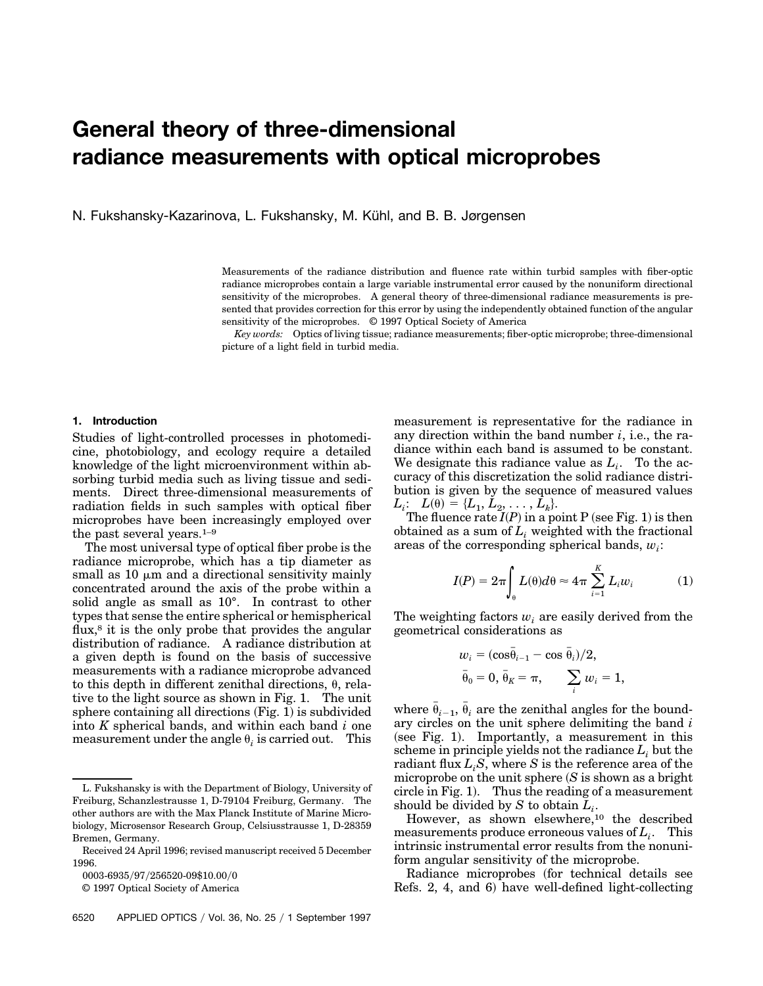# **General theory of three-dimensional radiance measurements with optical microprobes**

N. Fukshansky-Kazarinova, L. Fukshansky, M. Kühl, and B. B. Jørgensen

Measurements of the radiance distribution and fluence rate within turbid samples with fiber-optic radiance microprobes contain a large variable instrumental error caused by the nonuniform directional sensitivity of the microprobes. A general theory of three-dimensional radiance measurements is presented that provides correction for this error by using the independently obtained function of the angular sensitivity of the microprobes. © 1997 Optical Society of America

*Key words:* Optics of living tissue; radiance measurements; fiber-optic microprobe; three-dimensional picture of a light field in turbid media.

### **1. Introduction**

Studies of light-controlled processes in photomedicine, photobiology, and ecology require a detailed knowledge of the light microenvironment within absorbing turbid media such as living tissue and sediments. Direct three-dimensional measurements of radiation fields in such samples with optical fiber microprobes have been increasingly employed over the past several years.1–9

The most universal type of optical fiber probe is the radiance microprobe, which has a tip diameter as small as  $10 \mu m$  and a directional sensitivity mainly concentrated around the axis of the probe within a solid angle as small as 10°. In contrast to other types that sense the entire spherical or hemispherical flux,<sup>8</sup> it is the only probe that provides the angular distribution of radiance. A radiance distribution at a given depth is found on the basis of successive measurements with a radiance microprobe advanced to this depth in different zenithal directions,  $\theta$ , relative to the light source as shown in Fig. 1. The unit sphere containing all directions  $(Fig. 1)$  is subdivided into *K* spherical bands, and within each band *i* one measurement under the angle  $\theta_i$  is carried out. This

measurement is representative for the radiance in any direction within the band number *i*, i.e., the radiance within each band is assumed to be constant. We designate this radiance value as  $L_i$ . To the accuracy of this discretization the solid radiance distribution is given by the sequence of measured values  $L_i: L(\theta) = \{L_1, L_2, \ldots, L_k\}.$ 

The fluence rate  $I(P)$  in a point P (see Fig. 1) is then obtained as a sum of  $L<sub>i</sub>$  weighted with the fractional areas of the corresponding spherical bands, *wi*:

$$
I(P) = 2\pi \int_{\theta} L(\theta) d\theta \approx 4\pi \sum_{i=1}^{K} L_i w_i \tag{1}
$$

The weighting factors  $w_i$  are easily derived from the geometrical considerations as

$$
w_i = (\cos \bar{\theta}_{i-1} - \cos \bar{\theta}_i)/2,
$$
  
\n
$$
\bar{\theta}_0 = 0, \bar{\theta}_K = \pi, \qquad \sum_i w_i = 1,
$$

where  $\bar{\theta}_{i-1}$ ,  $\bar{\theta}_i$  are the zenithal angles for the boundary circles on the unit sphere delimiting the band *i*  $(see Fig. 1).$  Importantly, a measurement in this scheme in principle yields not the radiance  $L_i$  but the radiant flux  $L_iS$ , where *S* is the reference area of the microprobe on the unit sphere  $(S$  is shown as a bright circle in Fig. 1. Thus the reading of a measurement should be divided by *S* to obtain *Li*.

However, as shown elsewhere,<sup>10</sup> the described measurements produce erroneous values of *Li*. This intrinsic instrumental error results from the nonuniform angular sensitivity of the microprobe.

Radiance microprobes (for technical details see Refs. 2, 4, and 6) have well-defined light-collecting

L. Fukshansky is with the Department of Biology, University of Freiburg, Schanzlestrausse 1, D-79104 Freiburg, Germany. The other authors are with the Max Planck Institute of Marine Microbiology, Microsensor Research Group, Celsiusstrausse 1, D-28359 Bremen, Germany.

Received 24 April 1996; revised manuscript received 5 December 1996.

<sup>0003-6935/97/256520-09\$10.00/0</sup> 

<sup>© 1997</sup> Optical Society of America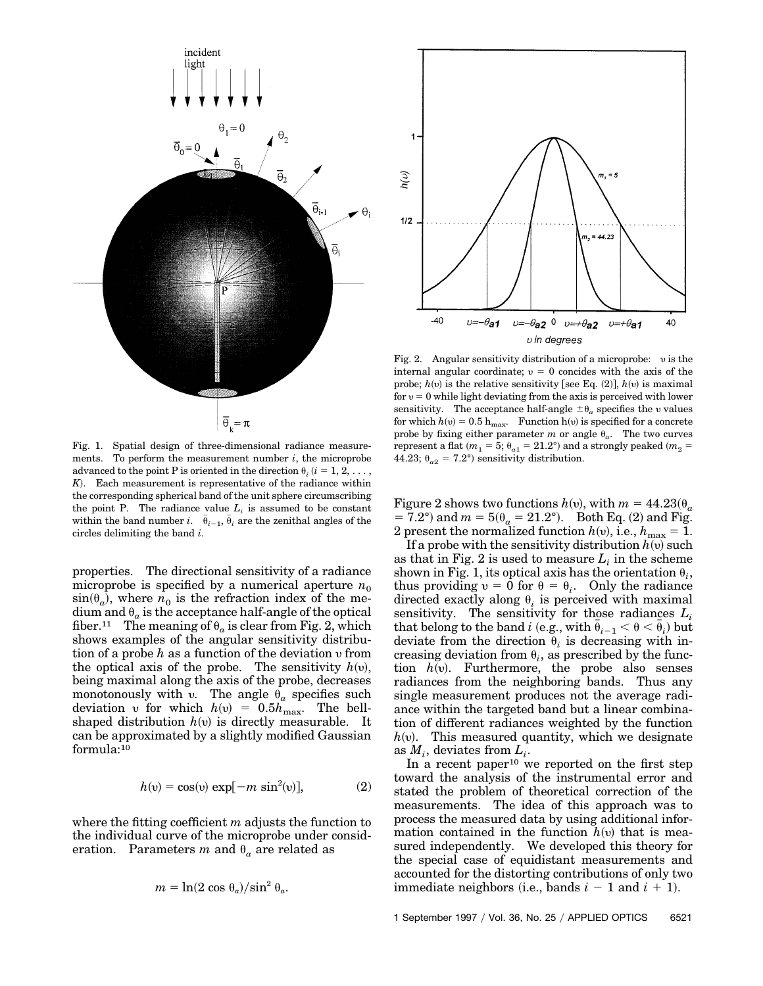

Fig. 1. Spatial design of three-dimensional radiance measurements. To perform the measurement number *i*, the microprobe advanced to the point P is oriented in the direction  $\theta_i$  ( $i = 1, 2, \ldots$ , *K*!. Each measurement is representative of the radiance within the corresponding spherical band of the unit sphere circumscribing the point P. The radiance value  $L_i$  is assumed to be constant within the band number *i*.  $\bar{\theta}_{i-1}$ ,  $\bar{\theta}_i$  are the zenithal angles of the circles delimiting the band *i*.

properties. The directional sensitivity of a radiance microprobe is specified by a numerical aperture  $n_0$  $sin(\theta_a)$ , where  $n_0$  is the refraction index of the medium and  $\theta_a$  is the acceptance half-angle of the optical fiber.<sup>11</sup> The meaning of  $\theta_a$  is clear from Fig. 2, which shows examples of the angular sensitivity distribution of a probe *h* as a function of the deviation y from the optical axis of the probe. The sensitivity  $h(v)$ , being maximal along the axis of the probe, decreases monotonously with v. The angle  $\theta_a$  specifies such deviation v for which  $h(v) = 0.5 h_{\text{max}}$ . The bellshaped distribution  $h(v)$  is directly measurable. It can be approximated by a slightly modified Gaussian formula:10

$$
h(v) = \cos(v) \exp[-m \sin^2(v)], \qquad (2)
$$

where the fitting coefficient *m* adjusts the function to the individual curve of the microprobe under consideration. Parameters *m* and  $\theta_a$  are related as

$$
m = \ln(2 \cos \theta_a) / \sin^2 \theta_a.
$$



Fig. 2. Angular sensitivity distribution of a microprobe: y is the internal angular coordinate;  $v = 0$  concides with the axis of the probe;  $h(v)$  is the relative sensitivity [see Eq. (2)],  $h(v)$  is maximal for  $v = 0$  while light deviating from the axis is perceived with lower sensitivity. The acceptance half-angle  $\pm\uptheta_a$  specifies the  $v$  values for which  $h(v) = 0.5$  h<sub>max</sub>. Function h(v) is specified for a concrete probe by fixing either parameter *m* or angle  $\theta_a$ . The two curves represent a flat  $(m_1 = 5; \theta_{a1} = 21.2^{\circ})$  and a strongly peaked  $(m_2 =$ 44.23;  $\theta_{a2} = 7.2^{\circ}$  sensitivity distribution.

Figure 2 shows two functions  $h(v)$ , with  $m = 44.23(\theta_a)$  $= 7.2^{\circ}$ ) and  $m = 5(\theta_a = 21.2^{\circ})$ . Both Eq. (2) and Fig. 2 present the normalized function  $h(v)$ , i.e.,  $h_{\text{max}} = 1$ .

If a probe with the sensitivity distribution  $h(v)$  such as that in Fig. 2 is used to measure  $L_i$  in the scheme shown in Fig. 1, its optical axis has the orientation  $\theta_i$ , thus providing  $v = 0$  for  $\theta = \theta_i$ . Only the radiance directed exactly along  $\theta_i$  is perceived with maximal sensitivity. The sensitivity for those radiances *Li*  $\text{that belong to the band } i \text{ (e.g., with } \bar{\theta}_{i-1} < \theta < \bar{\theta}_{i} \text{) but}$ deviate from the direction  $\theta_i$  is decreasing with increasing deviation from  $\theta_i$ , as prescribed by the function  $h(v)$ . Furthermore, the probe also senses radiances from the neighboring bands. Thus any single measurement produces not the average radiance within the targeted band but a linear combination of different radiances weighted by the function  $h(v)$ . This measured quantity, which we designate as  $M_i$ , deviates from  $L_i$ .

In a recent paper<sup>10</sup> we reported on the first step toward the analysis of the instrumental error and stated the problem of theoretical correction of the measurements. The idea of this approach was to process the measured data by using additional information contained in the function  $h(v)$  that is measured independently. We developed this theory for the special case of equidistant measurements and accounted for the distorting contributions of only two immediate neighbors (i.e., bands  $i - 1$  and  $i + 1$ ).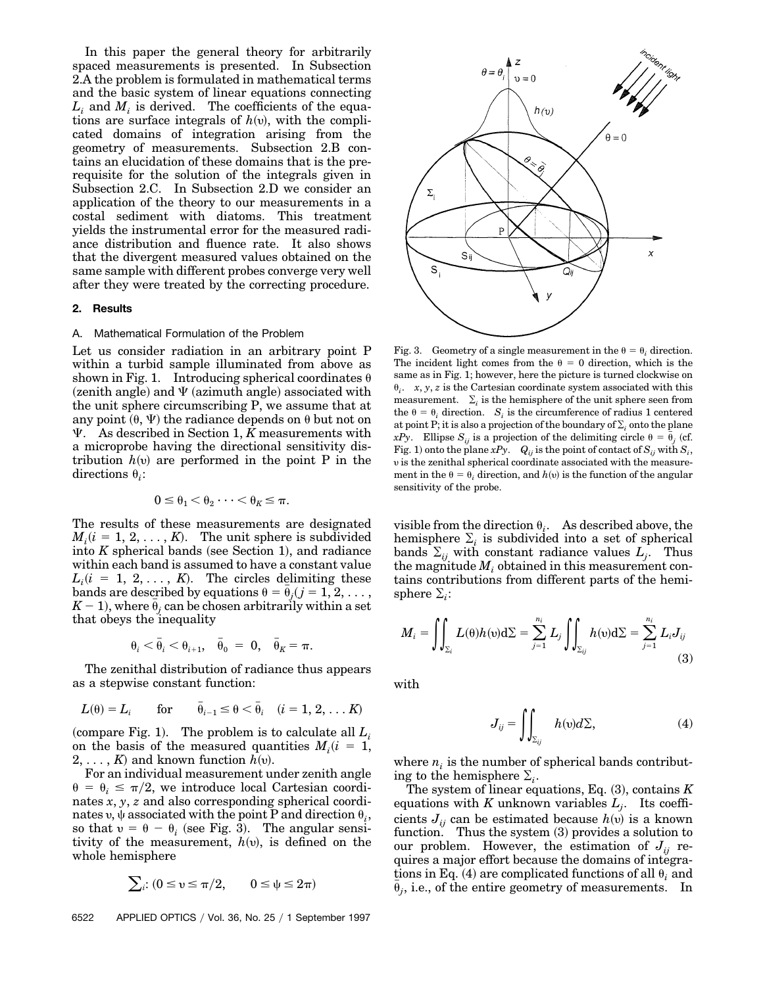In this paper the general theory for arbitrarily spaced measurements is presented. In Subsection 2.A the problem is formulated in mathematical terms and the basic system of linear equations connecting  $L_i$  and  $M_i$  is derived. The coefficients of the equations are surface integrals of  $h(v)$ , with the complicated domains of integration arising from the geometry of measurements. Subsection 2.B contains an elucidation of these domains that is the prerequisite for the solution of the integrals given in Subsection 2.C. In Subsection 2.D we consider an application of the theory to our measurements in a costal sediment with diatoms. This treatment yields the instrumental error for the measured radiance distribution and fluence rate. It also shows that the divergent measured values obtained on the same sample with different probes converge very well after they were treated by the correcting procedure.

### **2. Results**

#### A. Mathematical Formulation of the Problem

Let us consider radiation in an arbitrary point P within a turbid sample illuminated from above as shown in Fig. 1. Introducing spherical coordinates  $\theta$  $(zenith angle)$  and  $\Psi$  (azimuth angle) associated with the unit sphere circumscribing P, we assume that at any point  $(\theta, \Psi)$  the radiance depends on  $\theta$  but not on  $\Psi$ . As described in Section 1, *K* measurements with a microprobe having the directional sensitivity distribution  $h(v)$  are performed in the point P in the directions  $\theta_i$ :

$$
0\leq \theta_1<\theta_2\cdots<\theta_K\leq \pi.
$$

The results of these measurements are designated  $M_i(i = 1, 2, \ldots, K)$ . The unit sphere is subdivided into  $K$  spherical bands (see Section 1), and radiance within each band is assumed to have a constant value  $L_i(i = 1, 2, \ldots, K)$ . The circles delimiting these bands are described by equations  $\theta = \bar{\theta}_j (j = 1, 2, \ldots, j)$  $K-1$ ), where  $\bar{\theta}_j$  can be chosen arbitrarily within a set that obeys the inequality

$$
\theta_i < \bar{\theta}_i < \theta_{i+1}, \quad \bar{\theta}_0 = 0, \quad \bar{\theta}_K = \pi.
$$

The zenithal distribution of radiance thus appears as a stepwise constant function:

$$
L(\theta) = L_i
$$
 for  $\bar{\theta}_{i-1} \le \theta < \bar{\theta}_i \quad (i = 1, 2, \dots K)$ 

(compare Fig. 1). The problem is to calculate all  $L_i$ on the basis of the measured quantities  $M_i(i = 1,$  $2, \ldots, K$  and known function  $h(v)$ .

For an individual measurement under zenith angle  $\theta = \theta_i \leq \pi/2$ , we introduce local Cartesian coordinates *x*, *y*, *z* and also corresponding spherical coordinates v,  $\psi$  associated with the point P and direction  $\theta_i$ , so that  $v = \theta - \theta_i$  (see Fig. 3). The angular sensitivity of the measurement,  $h(v)$ , is defined on the whole hemisphere

$$
\sum_{i}: (0 \le v \le \pi/2, \qquad 0 \le \psi \le 2\pi)
$$

6522 APPLIED OPTICS / Vol. 36, No. 25 / 1 September 1997



Fig. 3. Geometry of a single measurement in the  $\theta = \theta_i$  direction. The incident light comes from the  $\theta = 0$  direction, which is the same as in Fig. 1; however, here the picture is turned clockwise on  $\theta_i$ . *x*, *y*, *z* is the Cartesian coordinate system associated with this measurement.  $\Sigma_i$  is the hemisphere of the unit sphere seen from the  $\theta = \theta_i$  direction. *S<sub>i</sub>* is the circumference of radius 1 centered at point P; it is also a projection of the boundary of  $\Sigma_i$  onto the plane *xPy*. Ellipse  $S_{ij}$  is a projection of the delimiting circle  $\theta = \bar{\theta}_j$  (cf. Fig. 1) onto the plane  $xPy.$  *Q<sub>ij</sub>* is the point of contact of  $S_{ij}$  with  $S_i$ , y is the zenithal spherical coordinate associated with the measurement in the  $\theta = \theta_i$  direction, and  $h(v)$  is the function of the angular sensitivity of the probe.

visible from the direction  $\theta_i$ . As described above, the hemisphere  $\Sigma_i$  is subdivided into a set of spherical bands  $\Sigma_{ij}$  with constant radiance values  $L_j$ . Thus the magnitude  $M_i$  obtained in this measurement contains contributions from different parts of the hemisphere  $\Sigma_i$ :

$$
M_i = \iint_{\Sigma_i} L(\theta)h(\upsilon)d\Sigma = \sum_{j=1}^{n_i} L_j \iint_{\Sigma_{ij}} h(\upsilon)d\Sigma = \sum_{j=1}^{n_i} L_i J_{ij}
$$
\n(3)

with

$$
J_{ij} = \iint_{\Sigma_{ij}} h(v) d\Sigma,
$$
 (4)

where  $n_i$  is the number of spherical bands contributing to the hemisphere  $\Sigma_i$ .

The system of linear equations, Eq.  $(3)$ , contains  $K$ equations with *K* unknown variables  $L_i$ . Its coefficients  $J_{ij}$  can be estimated because  $h(v)$  is a known function. Thus the system  $(3)$  provides a solution to our problem. However, the estimation of  $J_{ii}$  requires a major effort because the domains of integrations in Eq.  $(4)$  are complicated functions of all  $\theta_i$  and  $\bar{\theta}_j$ , i.e., of the entire geometry of measurements. In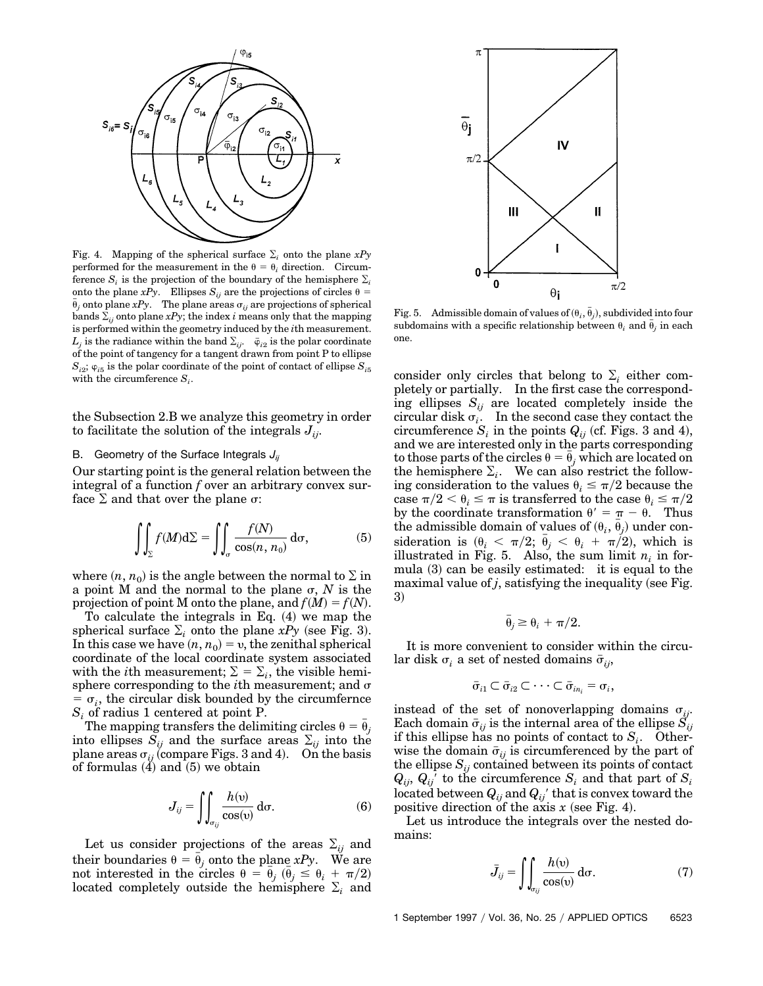

Fig. 4. Mapping of the spherical surface  $\Sigma_i$  onto the plane  $xPy$ performed for the measurement in the  $\theta = \theta_i$  direction. Circumference  $S_i$  is the projection of the boundary of the hemisphere  $\Sigma_i$ onto the plane *xPy*. Ellipses  $S_{ij}$  are the projections of circles  $\theta$  =  $\bar{\theta}_j$  onto plane *xPy*. The plane areas  $\sigma_{ij}$  are projections of spherical bands  $\Sigma_{ii}$  onto plane *xPy*; the index *i* means only that the mapping is performed within the geometry induced by the *i*th measurement.  $L_j$  is the radiance within the band  $\Sigma_{ij}$ .  $\bar{\varphi}_{i2}$  is the polar coordinate of the point of tangency for a tangent drawn from point P to ellipse  $S_{i2}$ ;  $\varphi_{i5}$  is the polar coordinate of the point of contact of ellipse  $S_{i5}$ with the circumference  $S_i$ .

the Subsection 2.B we analyze this geometry in order to facilitate the solution of the integrals  $J_{ij}$ .

### B. Geometry of the Surface Integrals  $J_{ii}$

Our starting point is the general relation between the integral of a function *f* over an arbitrary convex surface  $\Sigma$  and that over the plane  $\sigma$ :

$$
\iint_{\Sigma} f(M) d\Sigma = \iint_{\sigma} \frac{f(N)}{\cos(n, n_0)} d\sigma, \tag{5}
$$

where  $(n, n_0)$  is the angle between the normal to  $\Sigma$  in a point M and the normal to the plane  $\sigma$ , *N* is the projection of point M onto the plane, and  $f(M) = f(N)$ .

To calculate the integrals in Eq.  $(4)$  we map the spherical surface  $\Sigma_i$  onto the plane *xPy* (see Fig. 3). In this case we have  $(n, n_0) = v$ , the zenithal spherical coordinate of the local coordinate system associated with the *i*th measurement;  $\Sigma = \Sigma_i$ , the visible hemisphere corresponding to the *i*th measurement; and  $\sigma$  $\sigma_i$ , the circular disk bounded by the circumfernce *Si* of radius 1 centered at point P.

The mapping transfers the delimiting circles  $\theta = \bar{\theta}_j$ into ellipses  $S_{ij}$  and the surface areas  $\Sigma_{ij}$  into the plane areas  $\sigma_{ij}$  (compare Figs. 3 and 4). On the basis of formulas  $(4)$  and  $(5)$  we obtain

$$
J_{ij} = \iint_{\sigma_{ij}} \frac{h(v)}{\cos(v)} d\sigma.
$$
 (6)

Let us consider projections of the areas  $\Sigma_{ij}$  and their boundaries  $\theta = \bar{\theta}_j$  onto the plane *xPy*. We are not interested in the circles  $\theta = \bar{\theta}_j$  ( $\bar{\theta}_j \leq \theta_i + \pi/2$ ) located completely outside the hemisphere  $\Sigma_i$  and



Fig. 5. Admissible domain of values of  $(\theta_i, \bar{\theta}_j)$ , subdivided into four subdomains with a specific relationship between  $\theta_i$  and  $\bar{\theta}_j$  in each one.

consider only circles that belong to  $\Sigma_i$  either completely or partially. In the first case the corresponding ellipses  $S_{ij}$  are located completely inside the circular disk  $\sigma_i$ . In the second case they contact the circumference  $S_i$  in the points  $Q_{ij}$  (cf. Figs. 3 and 4), and we are interested only in the parts corresponding to those parts of the circles  $\theta = \bar{\theta}_j$  which are located on the hemisphere  $\Sigma_i$ . We can also restrict the following consideration to the values  $\theta_i \leq \pi/2$  because the case  $\pi/2 < \theta_i \leq \pi$  is transferred to the case  $\theta_i \leq \pi/2$ by the coordinate transformation  $\theta' = \pi - \theta$ . Thus  $t$ he admissible domain of values of  $(\theta_i, \, \bar{\theta}_j)$  under con- $\text{sideration is } (\theta_i < \pi/2; \overline{\theta}_j < \theta_i + \pi/2), \text{ which is}$ illustrated in Fig. 5. Also, the sum limit  $n_i$  in formula  $(3)$  can be easily estimated: it is equal to the maximal value of  $j$ , satisfying the inequality (see Fig. 3)

$$
\bar{\theta}_j \geq \theta_i + \pi/2.
$$

It is more convenient to consider within the circular disk  $\sigma_i$  a set of nested domains  $\bar{\sigma}_{ii}$ ,

$$
\bar{\sigma}_{i1} \subset \bar{\sigma}_{i2} \subset \cdots \subset \bar{\sigma}_{in_i} = \sigma_i,
$$

instead of the set of nonoverlapping domains  $\sigma_{ij}$ . Each domain  $\bar{\sigma}_{ii}$  is the internal area of the ellipse  $S_{ii}$ if this ellipse has no points of contact to  $S_i$ . Otherwise the domain  $\bar{\sigma}_{ii}$  is circumferenced by the part of the ellipse  $S_{ij}$  contained between its points of contact  $Q_{ij}$ ,  $Q_{ij}$ <sup> $\prime$ </sup> to the circumference  $S_i$  and that part of  $S_i$ located between  $Q_{ij}$  and  $Q_{ij}$ <sup>'</sup> that is convex toward the positive direction of the axis  $x$  (see Fig. 4).

Let us introduce the integrals over the nested domains:

$$
\bar{J}_{ij} = \iint_{\sigma_{ij}} \frac{h(v)}{\cos(v)} \, \mathrm{d}\sigma. \tag{7}
$$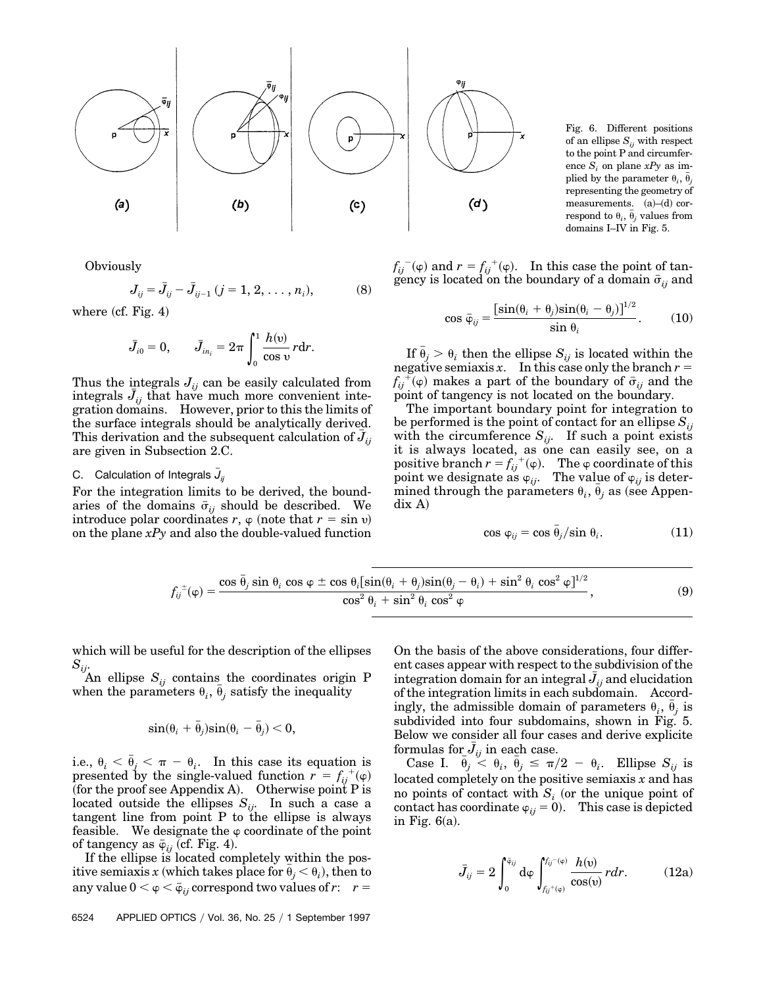

Fig. 6. Different positions of an ellipse  $S_{ij}$  with respect to the point P and circumference  $S_i$  on plane  $xPy$  as implied by the parameter  $\theta_i$ ,  $\bar{\theta}_j$ representing the geometry of measurements.  $(a)$ – $(d)$  correspond to  $\theta_i$ ,  $\bar{\theta}_j$  values from domains I–IV in Fig. 5.

**Obviously** 

$$
J_{ij} = \bar{J}_{ij} - \bar{J}_{ij-1} (j = 1, 2, ..., n_i),
$$
 (8)

where  $(cf. Fig. 4)$ 

$$
\bar{J}_{i0}=0,\qquad \bar{J}_{in_i}=2\pi\int_0^1\frac{h(\mathfrak{v})}{\cos\mathfrak{v}}r\mathrm{d}r.
$$

Thus the integrals  $J_{ij}$  can be easily calculated from integrals  $\bar{J}_{ij}$  that have much more convenient integration domains. However, prior to this the limits of the surface integrals should be analytically derived. This derivation and the subsequent calculation of  $\bar{J}_{ij}$ are given in Subsection 2.C.

## C.  $\,$  Calculation of Integrals  $\bar{J}_{ij}$

For the integration limits to be derived, the boundaries of the domains  $\bar{\sigma}_{ij}$  should be described. We introduce polar coordinates *r*,  $\varphi$  (note that  $r = \sin v$ ) on the plane *xPy* and also the double-valued function

 $f_{ij}^{\text{(-)}}(\varphi)$  and  $r = f_{ij}^{\text{(+)}}(\varphi)$ . In this case the point of tangency is located on the boundary of a domain  $\bar{\sigma}_{ii}$  and

$$
\cos \bar{\varphi}_{ij} = \frac{[\sin(\theta_i + \theta_j)\sin(\theta_i - \theta_j)]^{1/2}}{\sin \theta_i}.
$$
 (10)

If  $\bar{\theta}_j > \theta_i$  then the ellipse  $S_{ij}$  is located within the negative semiaxis *x*. In this case only the branch  $r =$  $f_{ij}^{\ \ \breve{\vdash}}(\varphi)$  makes a part of the boundary of  $\bar{\sigma}_{ij}$  and the point of tangency is not located on the boundary.

The important boundary point for integration to be performed is the point of contact for an ellipse  $S_{ii}$ with the circumference  $S_{ij}$ . If such a point exists it is always located, as one can easily see, on a positive branch  $r = f_{ij}^{(+)}(\varphi)$ . The  $\varphi$  coordinate of this point we designate as  $\varphi_{ij}$ . The value of  $\varphi_{ij}$  is deter- $\overline{\text{mined}}$  through the parameters  $\theta_i$ ,  $\overline{\theta}_j$  as (see Appen- $\text{d}$ ix A)

$$
\cos \varphi_{ij} = \cos \bar{\theta}_j / \sin \theta_i. \tag{11}
$$

$$
f_{ij}^{\pm}(\varphi) = \frac{\cos \bar{\theta}_j \sin \theta_i \cos \varphi \pm \cos \theta_i [\sin(\theta_i + \theta_j)\sin(\theta_j - \theta_i) + \sin^2 \theta_i \cos^2 \varphi]^{1/2}}{\cos^2 \theta_i + \sin^2 \theta_i \cos^2 \varphi},
$$
(9)

which will be useful for the description of the ellipses *Sij*.

An ellipse  $S_{ij}$  contains the coordinates origin P when the parameters  $\theta_i$ ,  $\bar{\theta}_j$  satisfy the inequality

$$
\sin(\theta_i + \bar{\theta}_j)\sin(\theta_i - \bar{\theta}_j) < 0,
$$

i.e.,  $\theta_i < \bar{\theta}_j < \pi - \theta_i$ . In this case its equation is presented by the single-valued function  $r = f_{ij}^{\ +}(\varphi)$ (for the proof see Appendix A). Otherwise point  $P$  is located outside the ellipses  $S_{ii}$ . In such a case a tangent line from point  $P$  to the ellipse is always feasible. We designate the  $\varphi$  coordinate of the point of tangency as  $\bar{\varphi}_{ij}$  (cf. Fig. 4).

If the ellipse is located completely within the pos- $\text{itive semiaxis } x \text{ (which takes place for } \bar{\theta}_j < \theta_i \text{), then to}$ any value  $0 < \varphi < \bar{\varphi}_{ij}$  correspond two values of *r*:  $r =$ 

On the basis of the above considerations, four different cases appear with respect to the subdivision of the  $\frac{1}{2}$  integration domain for an integral  $\bar{J}_{ij}$  and elucidation of the integration limits in each subdomain. Accordingly, the admissible domain of parameters  $\theta_i$ ,  $\bar{\theta}_j$  is subdivided into four subdomains, shown in Fig. 5. Below we consider all four cases and derive explicite formulas for  $\bar{J}_{ij}$  in each case.

Case I.  $\bar{\theta}_j \leq \theta_i$ ,  $\bar{\theta}_j \leq \pi/2 - \theta_i$ . Ellipse  $S_{ij}$  is located completely on the positive semiaxis *x* and has no points of contact with  $S_i$  (or the unique point of contact has coordinate  $\varphi_{ij} = 0$ . This case is depicted in Fig.  $6(a)$ .

$$
\bar{J}_{ij} = 2 \int_0^{\bar{v}_{ij}} d\varphi \int_{f_{ij}^+(\varphi)}^{f_{ij}^-(\varphi)} \frac{h(\upsilon)}{\cos(\upsilon)} r dr.
$$
 (12a)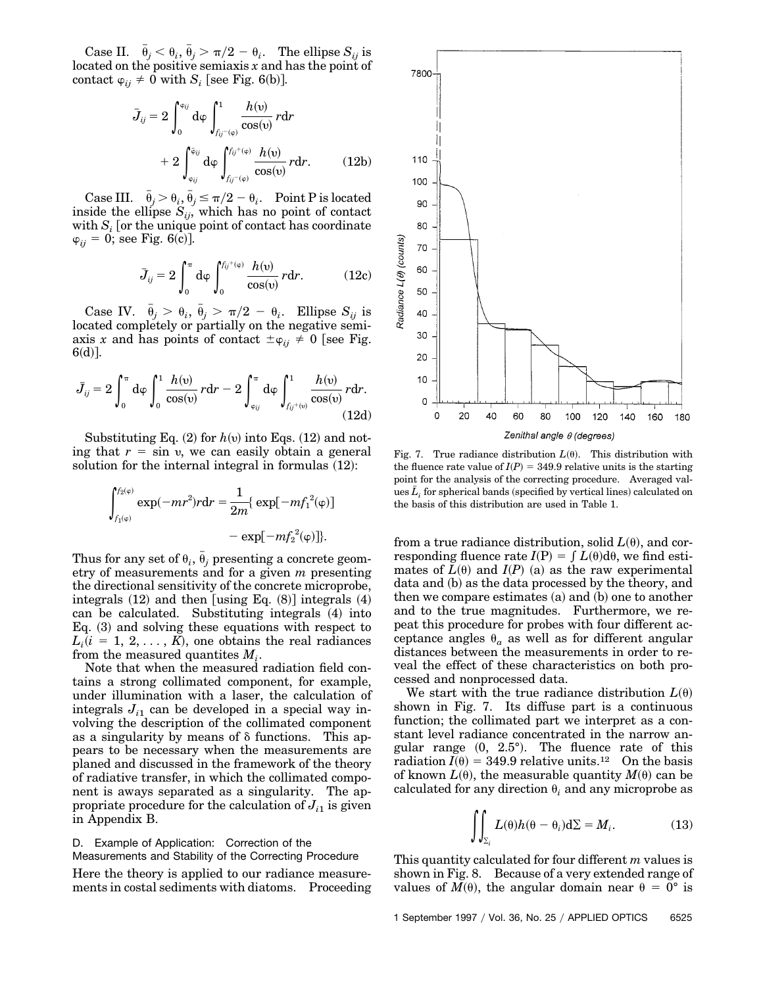Case II.  $\bar{\theta}_j < \theta_i$ ,  $\bar{\theta}_j > \pi/2 - \theta_i$ . The ellipse  $S_{ij}$  is located on the positive semiaxis *x* and has the point of contact  $\varphi_{ij} \neq 0$  with  $S_i$  [see Fig. 6(b)].

$$
\bar{J}_{ij} = 2 \int_0^{\varphi_{ij}} d\varphi \int_{f_{ij} - (\varphi)}^1 \frac{h(\upsilon)}{\cos(\upsilon)} r dr \n+ 2 \int_{\varphi_{ij}}^{\varphi_{ij}} d\varphi \int_{f_{ij} - (\varphi)}^{f_{ij} + (\varphi)} \frac{h(\upsilon)}{\cos(\upsilon)} r dr.
$$
\n(12b)

Case III.  $\bar{\theta}_j > \theta_i$ ,  $\bar{\theta}_j \leq \pi/2 - \theta_i$ . Point P is located inside the ellipse  $S_{ij}$ , which has no point of contact with  $S_i$  [or the unique point of contact has coordinate  $\varphi_{ii} = 0$ ; see Fig. 6(c)].

$$
\bar{J}_{ij} = 2 \int_0^{\pi} d\varphi \int_0^{f_{ij}+(\varphi)} \frac{h(\upsilon)}{\cos(\upsilon)} r dr.
$$
 (12c)

Case IV.  $\bar{\theta}_j > \theta_i$ ,  $\bar{\theta}_j > \pi/2 - \theta_i$ . Ellipse  $S_{ij}$  is located completely or partially on the negative semiaxis *x* and has points of contact  $\pm \varphi_{ii} \neq 0$  [see Fig.  $6(d)$ ].

$$
\bar{J}_{ij} = 2 \int_0^{\pi} d\phi \int_0^1 \frac{h(v)}{\cos(v)} r dr - 2 \int_{\phi_{ij}}^{\pi} d\phi \int_{f_{ij}^+(\upsilon)}^1 \frac{h(\upsilon)}{\cos(\upsilon)} r dr.
$$
(12d)

Substituting Eq.  $(2)$  for  $h(v)$  into Eqs.  $(12)$  and noting that  $r = \sin v$ , we can easily obtain a general solution for the internal integral in formulas  $(12)$ :

$$
\int_{f_1(\varphi)}^{f_2(\varphi)} \exp(-mr^2) r dr = \frac{1}{2m} \{ \exp[-mf_1^2(\varphi)] - \exp[-mf_2^2(\varphi)] \}.
$$

Thus for any set of  $\theta_i$ ,  $\bar{\theta}_j$  presenting a concrete geometry of measurements and for a given *m* presenting the directional sensitivity of the concrete microprobe, integrals  $(12)$  and then [using Eq.  $(8)$ ] integrals  $(4)$ can be calculated. Substituting integrals (4) into Eq.  $(3)$  and solving these equations with respect to  $L_i(i = 1, 2, \ldots, K)$ , one obtains the real radiances from the measured quantities  $M_i$ .

Note that when the measured radiation field contains a strong collimated component, for example, under illumination with a laser, the calculation of integrals  $J_{i1}$  can be developed in a special way involving the description of the collimated component as a singularity by means of  $\delta$  functions. This appears to be necessary when the measurements are planed and discussed in the framework of the theory of radiative transfer, in which the collimated component is aways separated as a singularity. The appropriate procedure for the calculation of  $J_{i1}$  is given in Appendix B.

# D. Example of Application: Correction of the

Measurements and Stability of the Correcting Procedure

Here the theory is applied to our radiance measurements in costal sediments with diatoms. Proceeding



Fig. 7. True radiance distribution  $L(\theta)$ . This distribution with the fluence rate value of  $I(P) = 349.9$  relative units is the starting point for the analysis of the correcting procedure. Averaged values  $\bar{L}_i$  for spherical bands (specified by vertical lines) calculated on the basis of this distribution are used in Table 1.

from a true radiance distribution, solid  $L(\theta)$ , and corresponding fluence rate  $I(P) = \int L(\theta) d\theta$ , we find estimates of  $L(\theta)$  and  $I(P)$  (a) as the raw experimental data and (b) as the data processed by the theory, and then we compare estimates  $(a)$  and  $(b)$  one to another and to the true magnitudes. Furthermore, we repeat this procedure for probes with four different acceptance angles  $\theta_a$  as well as for different angular distances between the measurements in order to reveal the effect of these characteristics on both processed and nonprocessed data.

We start with the true radiance distribution  $L(\theta)$ shown in Fig. 7. Its diffuse part is a continuous function; the collimated part we interpret as a constant level radiance concentrated in the narrow angular range  $(0, 2.5^{\circ})$ . The fluence rate of this radiation  $I(\theta) = 349.9$  relative units.<sup>12</sup> On the basis of known  $L(\theta)$ , the measurable quantity  $M(\theta)$  can be calculated for any direction  $\theta_i$  and any microprobe as

$$
\iint_{\Sigma_i} L(\theta)h(\theta - \theta_i)d\Sigma = M_i.
$$
 (13)

This quantity calculated for four different *m* values is shown in Fig. 8. Because of a very extended range of values of  $M(\theta)$ , the angular domain near  $\theta = 0^{\circ}$  is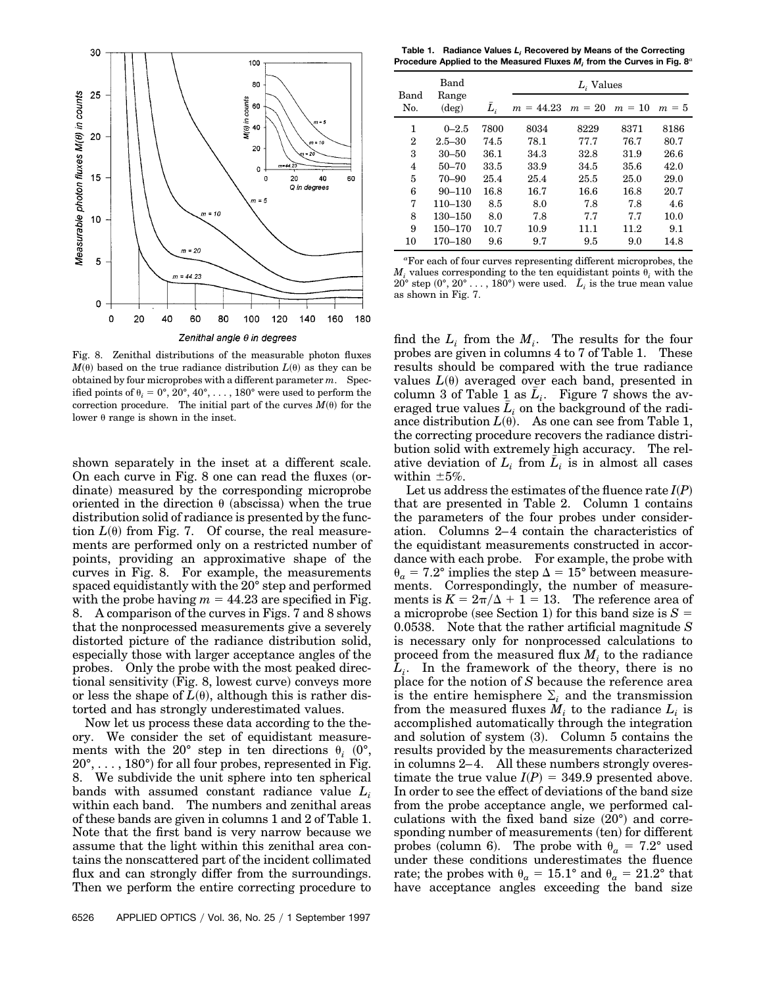

Fig. 8. Zenithal distributions of the measurable photon fluxes  $M^{(0)}$  based on the true radiance distribution  $L^{(0)}$  as they can be obtained by four microprobes with a different parameter *m*. Specified points of  $\theta_i = 0^\circ, 20^\circ, 40^\circ, \ldots, 180^\circ$  were used to perform the correction procedure. The initial part of the curves  $M(\theta)$  for the lower  $\theta$  range is shown in the inset.

shown separately in the inset at a different scale. On each curve in Fig.  $8$  one can read the fluxes (ordinate) measured by the corresponding microprobe oriented in the direction  $\theta$  (abscissa) when the true distribution solid of radiance is presented by the function  $L(\theta)$  from Fig. 7. Of course, the real measurements are performed only on a restricted number of points, providing an approximative shape of the curves in Fig. 8. For example, the measurements spaced equidistantly with the 20° step and performed with the probe having  $m = 44.23$  are specified in Fig. 8. A comparison of the curves in Figs. 7 and 8 shows that the nonprocessed measurements give a severely distorted picture of the radiance distribution solid, especially those with larger acceptance angles of the probes. Only the probe with the most peaked directional sensitivity (Fig. 8, lowest curve) conveys more or less the shape of  $L(\theta)$ , although this is rather distorted and has strongly underestimated values.

Now let us process these data according to the theory. We consider the set of equidistant measurements with the 20° step in ten directions  $\theta_i$  (0°,  $20^{\circ}, \ldots, 180^{\circ}$  for all four probes, represented in Fig. 8. We subdivide the unit sphere into ten spherical bands with assumed constant radiance value *Li* within each band. The numbers and zenithal areas of these bands are given in columns 1 and 2 of Table 1. Note that the first band is very narrow because we assume that the light within this zenithal area contains the nonscattered part of the incident collimated flux and can strongly differ from the surroundings. Then we perform the entire correcting procedure to

**Table 1. Radiance Values** *Li* **Recovered by Means of the Correcting Procedure Applied to the Measured Fluxes** *Mi* **from the Curves in Fig. 8***<sup>a</sup>*

|             | Band<br>Range<br>$(\text{deg})$ |       | $L_i$ Values |          |          |         |  |
|-------------|---------------------------------|-------|--------------|----------|----------|---------|--|
| Band<br>No. |                                 | $L_i$ | $m = 44.23$  | $m = 20$ | $m = 10$ | $m = 5$ |  |
| 1           | $0 - 2.5$                       | 7800  | 8034         | 8229     | 8371     | 8186    |  |
| 2           | $2.5 - 30$                      | 74.5  | 78.1         | 77.7     | 76.7     | 80.7    |  |
| 3           | $30 - 50$                       | 36.1  | 34.3         | 32.8     | 31.9     | 26.6    |  |
| 4           | $50 - 70$                       | 33.5  | 33.9         | 34.5     | 35.6     | 42.0    |  |
| 5           | $70 - 90$                       | 25.4  | 25.4         | 25.5     | 25.0     | 29.0    |  |
| 6           | $90 - 110$                      | 16.8  | 16.7         | 16.6     | 16.8     | 20.7    |  |
| 7           | 110-130                         | 8.5   | 8.0          | 7.8      | 7.8      | 4.6     |  |
| 8           | 130-150                         | 8.0   | 7.8          | 7.7      | 7.7      | 10.0    |  |
| 9           | 150-170                         | 10.7  | 10.9         | 11.1     | 11.2     | 9.1     |  |
| 10          | 170–180                         | 9.6   | 9.7          | 9.5      | 9.0      | 14.8    |  |

*a* For each of four curves representing different microprobes, the  $M_i$  values corresponding to the ten equidistant points  $\theta_i$  with the  $20^{\circ}$  step  $(0^{\circ}, 20^{\circ} \dots, 180^{\circ})$  were used.  $\bar{L}_i$  is the true mean value as shown in Fig. 7.

find the  $L_i$  from the  $M_i$ . The results for the four probes are given in columns 4 to 7 of Table 1. These results should be compared with the true radiance values  $L(\theta)$  averaged over each band, presented in column 3 of Table 1 as  $L_i$ . Figure 7 shows the averaged true values  $L_i$  on the background of the radiance distribution  $L(\theta)$ . As one can see from Table 1, the correcting procedure recovers the radiance distribution solid with extremely high accuracy. The relative deviation of  $L_i$  from  $L_i$  is in almost all cases within  $\pm 5\%$ .

Let us address the estimates of the fluence rate  $I(P)$ that are presented in Table 2. Column 1 contains the parameters of the four probes under consideration. Columns 2–4 contain the characteristics of the equidistant measurements constructed in accordance with each probe. For example, the probe with  $\theta_a = 7.2^{\circ}$  implies the step  $\Delta = 15^{\circ}$  between measurements. Correspondingly, the number of measurements is  $K = 2\pi/\Delta + 1 = 13$ . The reference area of a microprobe (see Section 1) for this band size is  $S =$ 0.0538. Note that the rather artificial magnitude *S* is necessary only for nonprocessed calculations to proceed from the measured flux  $M_i$  to the radiance  $L_i$ . In the framework of the theory, there is no place for the notion of *S* because the reference area is the entire hemisphere  $\Sigma_i$  and the transmission from the measured fluxes  $M_i$  to the radiance  $L_i$  is accomplished automatically through the integration and solution of system  $(3)$ . Column 5 contains the results provided by the measurements characterized in columns 2–4. All these numbers strongly overestimate the true value  $I(P) = 349.9$  presented above. In order to see the effect of deviations of the band size from the probe acceptance angle, we performed calculations with the fixed band size  $(20^{\circ})$  and corresponding number of measurements (ten) for different probes (column 6). The probe with  $\theta_a = 7.2^\circ$  used under these conditions underestimates the fluence rate; the probes with  $\theta_a = 15.1^\circ$  and  $\theta_a = 21.2^\circ$  that have acceptance angles exceeding the band size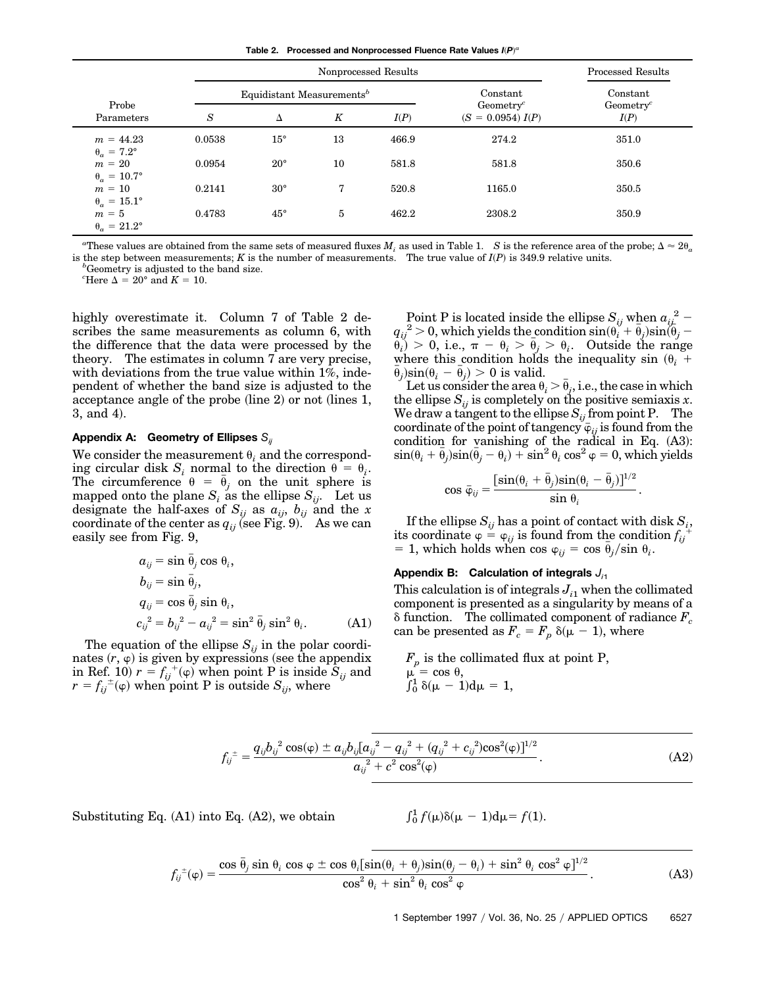**Table 2. Processed and Nonprocessed Fluence Rate Values**  $I(P)^a$ 

|                                         |        | <b>Processed Results</b>              |    |       |                                              |                               |
|-----------------------------------------|--------|---------------------------------------|----|-------|----------------------------------------------|-------------------------------|
|                                         |        | Equidistant Measurements <sup>b</sup> |    |       | Constant                                     | Constant                      |
| Probe<br>Parameters                     | S      | Δ                                     | K  | I(P)  | Geometry <sup>c</sup><br>$(S = 0.0954) I(P)$ | Geometry <sup>c</sup><br>I(P) |
| $m = 44.23$<br>$\theta_a = 7.2^{\circ}$ | 0.0538 | $15^{\circ}$                          | 13 | 466.9 | 274.2                                        | 351.0                         |
| $m = 20$<br>$\theta_a = 10.7^\circ$     | 0.0954 | $20^{\circ}$                          | 10 | 581.8 | 581.8                                        | 350.6                         |
| $m = 10$<br>$\theta_a = 15.1^\circ$     | 0.2141 | $30^{\circ}$                          | 7  | 520.8 | 1165.0                                       | 350.5                         |
| $m = 5$<br>$\theta_a = 21.2^\circ$      | 0.4783 | $45^{\circ}$                          | 5  | 462.2 | 2308.2                                       | 350.9                         |

<sup>a</sup> These values are obtained from the same sets of measured fluxes  $M_i$  as used in Table 1. *S* is the reference area of the probe;  $\Delta \approx 2\theta_a$ is the step between measurements; *K* is the number of measurements. The true value of  $I(P)$  is 349.9 relative units.  $b^b$ Geometry is adjusted to the band size.

<sup>*c*</sup>Here  $\Delta = 20^{\circ}$  and  $K = 10$ .

highly overestimate it. Column 7 of Table 2 describes the same measurements as column 6, with the difference that the data were processed by the theory. The estimates in column 7 are very precise, with deviations from the true value within 1%, independent of whether the band size is adjusted to the acceptance angle of the probe  $(\text{line } 2)$  or not  $(\text{lines } 1,$  $3$ , and  $4$ ).

### **Appendix A: Geometry of Ellipses** *Sij*

We consider the measurement  $\theta_i$  and the corresponding circular disk  $S_i$  normal to the direction  $\theta = \theta_i$ . The circumference  $\theta = \bar{\theta}_j$  on the unit sphere is mapped onto the plane  $S_i$  as the ellipse  $S_{ij}$ . Let us designate the half-axes of  $S_{ij}$  as  $a_{ij}$ ,  $b_{ij}$  and the *x* coordinate of the center as  $q_{ij}$  (see Fig. 9). As we can easily see from Fig. 9,

$$
a_{ij} = \sin \bar{\theta}_j \cos \theta_i,
$$
  
\n
$$
b_{ij} = \sin \bar{\theta}_j,
$$
  
\n
$$
q_{ij} = \cos \bar{\theta}_j \sin \theta_i,
$$
  
\n
$$
c_{ij}^2 = b_{ij}^2 - a_{ij}^2 = \sin^2 \bar{\theta}_j \sin^2 \theta_i.
$$
 (A1)

The equation of the ellipse  $S_{ii}$  in the polar coordinates  $(r, \varphi)$  is given by expressions (see the appendix in Ref. 10)  $r = f_{ij}^{\ +}(\varphi)$  when point P is inside  $S_{ij}$  and  $r = f_{ij}^{\perp}(\varphi)$  when point P is outside  $S_{ij}$ , where

Point P is located inside the ellipse  $S_{ij}$  when  $a_{ij}^2$  –  ${q_{ij}}^2\!>\!0,$  which yields the condition  $\sin(\hat{\theta_i^{\prime}}+\bar{\theta}_j)\sin(\tilde{\theta}_j-\tilde{\theta}_j)$  $\hat{\theta}_{i}^{\check{\gamma}}$  > 0, i.e.,  $\pi - \theta_{i} > \bar{\theta}_{j} > \theta_{i}$ . Outside the range where this condition holds the inequality sin  $(\theta_i +$  $\bar{\theta}_j$ )sin( $\theta_i - \bar{\theta}_j$ ) > 0 is valid.

Let us consider the area  $\theta_i > \bar{\theta}_j$ , i.e., the case in which the ellipse  $S_{ij}$  is completely on the positive semiaxis x. We draw a tangent to the ellipse  $S_{ij}$  from point P. The coordinate of the point of tangency  $\overline{\varphi}_{ij}$  is found from the condition for vanishing of the radical in Eq.  $(A3)$ :  $\sin(\theta_i + \bar{\theta}_j)\sin(\bar{\theta}_j - \theta_i) + \sin^2\theta_i\cos^2\phi = 0$ , which yields

$$
\cos \bar{\varphi}_{ij} = \frac{[\sin(\theta_i + \bar{\theta}_j)\sin(\theta_i - \bar{\theta}_j)]^{1/2}}{\sin \theta_i}.
$$

If the ellipse  $S_{ij}$  has a point of contact with disk  $S_i$ ,<br>coordinate  $s = s$ , is found from the condition  $f^+$ its coordinate  $\varphi = \varphi_{ij}$  is found from the condition  $f_{ij}$ = 1, which holds when cos  $\varphi_{ij} = \cos \bar{\theta}_j / \sin \theta_i$ .

### **Appendix B: Calculation of integrals** *Ji*<sup>1</sup>

This calculation is of integrals  $J_{i1}$  when the collimated component is presented as a singularity by means of a  $\delta$  function. The collimated component of radiance  $F_c$ can be presented as  $F_c = F_p \delta(\mu - 1)$ , where

 $F_p$  is the collimated flux at point P,  $\mu$  = cos  $\theta$ ,  $\int_0^1 \delta(\mu - 1) d\mu = 1$ ,

$$
f_{ij}^{\pm} = \frac{q_{ij}b_{ij}^{2}\cos(\varphi) \pm a_{ij}b_{ij}[a_{ij}^{2} - q_{ij}^{2} + (q_{ij}^{2} + c_{ij}^{2})\cos^{2}(\varphi)]^{1/2}}{a_{ij}^{2} + c^{2}\cos^{2}(\varphi)}.
$$
 (A2)

Substituting Eq.  $(A1)$  into Eq.  $(A2)$ , we obtain

 $\int_0^1 f(\mu)\delta(\mu - 1)d\mu = f(1).$ 

$$
f_{ij}^{\pm}(\varphi) = \frac{\cos \bar{\theta}_j \sin \theta_i \cos \varphi \pm \cos \theta_i [\sin(\theta_i + \theta_j)\sin(\theta_j - \theta_i) + \sin^2 \theta_i \cos^2 \varphi]^{1/2}}{\cos^2 \theta_i + \sin^2 \theta_i \cos^2 \varphi}.
$$
 (A3)